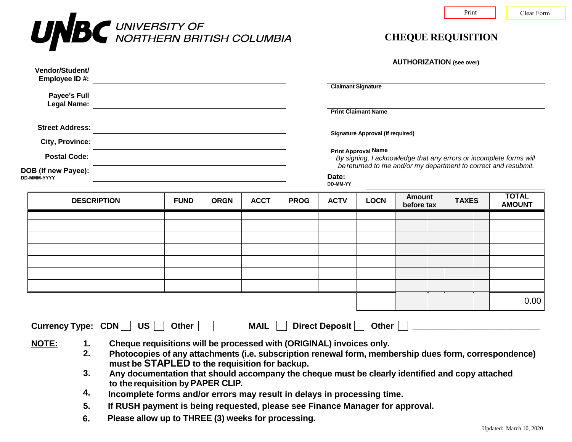

| <b>AUTHORIZATION</b> (see over) |  |
|---------------------------------|--|
|---------------------------------|--|

| Vendor/Student/<br>Employee ID #:                                                                                                                                                                                                                                                                                                                                                                                                            |             |             |             |             |                                                                                                                                                                                          | <b>Claimant Signature</b> |                             |              |                               |
|----------------------------------------------------------------------------------------------------------------------------------------------------------------------------------------------------------------------------------------------------------------------------------------------------------------------------------------------------------------------------------------------------------------------------------------------|-------------|-------------|-------------|-------------|------------------------------------------------------------------------------------------------------------------------------------------------------------------------------------------|---------------------------|-----------------------------|--------------|-------------------------------|
| Payee's Full                                                                                                                                                                                                                                                                                                                                                                                                                                 |             |             |             |             | <b>Print Claimant Name</b>                                                                                                                                                               |                           |                             |              |                               |
| <b>Street Address:</b>                                                                                                                                                                                                                                                                                                                                                                                                                       |             |             |             |             | <b>Signature Approval (if required)</b>                                                                                                                                                  |                           |                             |              |                               |
| <b>City, Province:</b><br>the control of the control of the control of the control of the control of the control of the control of the control of the control of the control of the control of the control of the control of the control of the control<br><b>Postal Code:</b><br><u> 1989 - Johann Stein, marwolaethau a bhann an t-Amhain an t-Amhain an t-Amhain an t-Amhain an t-Amhain an t-A</u><br>DOB (if new Payee):<br>DD-MMM-YYYY |             |             |             |             | <b>Print Approval Name</b><br>By signing, I acknowledge that any errors or incomplete forms will<br>be returned to me and/or my department to correct and resubmit.<br>Date:<br>DD-MM-YY |                           |                             |              |                               |
| <b>DESCRIPTION</b>                                                                                                                                                                                                                                                                                                                                                                                                                           | <b>FUND</b> | <b>ORGN</b> | <b>ACCT</b> | <b>PROG</b> | <b>ACTV</b>                                                                                                                                                                              | <b>LOCN</b>               | <b>Amount</b><br>before tax | <b>TAXES</b> | <b>TOTAL</b><br><b>AMOUNT</b> |
|                                                                                                                                                                                                                                                                                                                                                                                                                                              |             |             |             |             |                                                                                                                                                                                          |                           |                             |              |                               |
|                                                                                                                                                                                                                                                                                                                                                                                                                                              |             |             |             |             |                                                                                                                                                                                          |                           |                             |              |                               |
|                                                                                                                                                                                                                                                                                                                                                                                                                                              |             |             |             |             |                                                                                                                                                                                          |                           |                             |              |                               |
|                                                                                                                                                                                                                                                                                                                                                                                                                                              |             |             |             |             |                                                                                                                                                                                          |                           |                             |              |                               |

- **2. Photocopies of any attachments (i.e. subscription renewal form, membership dues form, correspondence) must be STAPLED to the requisition for backup.**
- **3. Any documentation that should accompany the cheque must be clearly identified and copy attached to the requisition by PAPER CLIP.**
- **4. Incomplete forms and/or errors may result in delays in processing time.**
- **5. If RUSH payment is being requested, please see Finance Manager for approval.**
- **6. Please allow up to THREE (3) weeks for processing.**